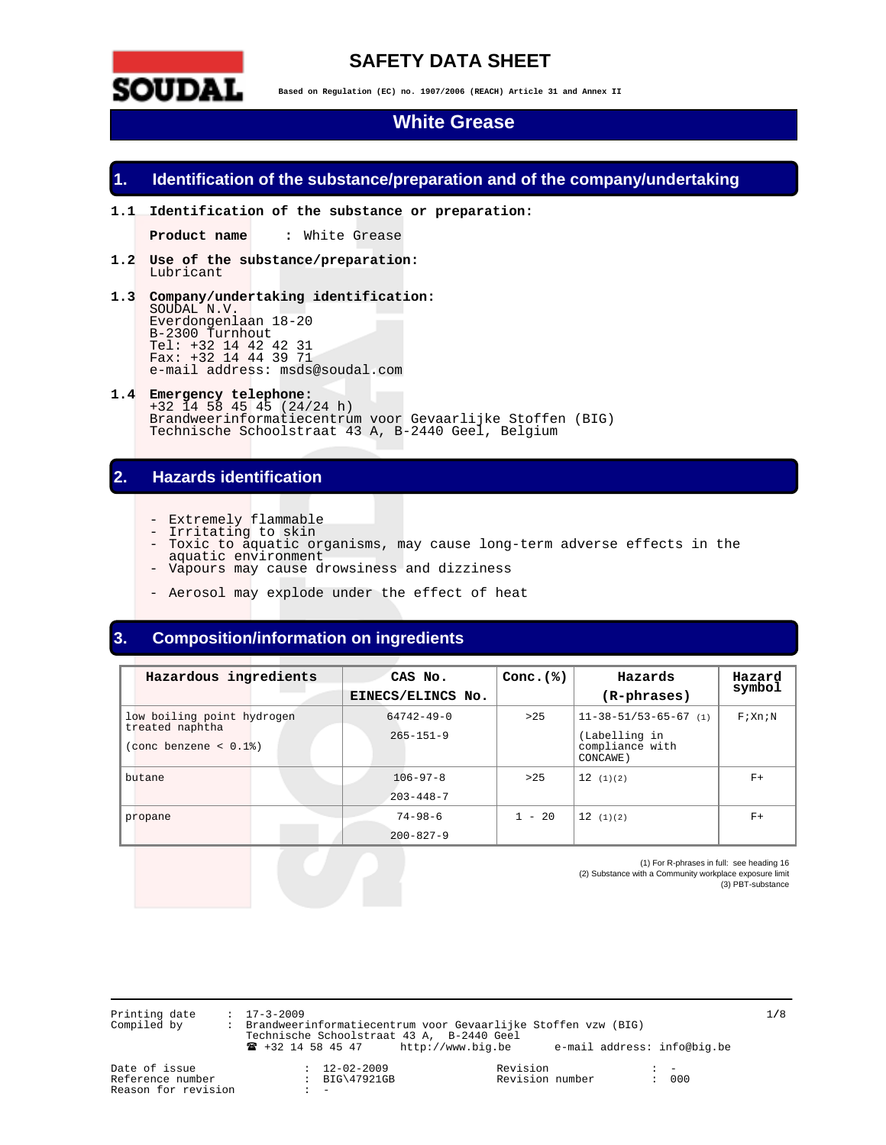

# **SAFETY DATA SHEET**

**Based on Regulation (EC) no. 1907/2006 (REACH) Article 31 and Annex II** 

# **White Grease**

# **1. Identification of the substance/preparation and of the company/undertaking**

**1.1 Identification of the substance or preparation:** 

Product name : White Grease

- **1.2 Use of the substance/preparation:**  Lubricant
- **1.3 Company/undertaking identification:**  SOUDAL N.V. Everdongenlaan 18-20 B-2300 Turnhout Tel: +32 14 42 42 31 Fax: +32 14 44 39 71 e-mail address: msds@soudal.com
- **1.4 Emergency telephone:**  +32 14 58 45 45 (24/24 h) Brandweerinformatiecentrum voor Gevaarlijke Stoffen (BIG) Technische Schoolstraat 43 A, B-2440 Geel, Belgium

# **2. Hazards identification**

- Extremely flammable
- Irritating to skin
- Toxic to aquatic organisms, may cause long-term adverse effects in the
- aquatic environment - Vapours may cause drowsiness and dizziness
- Aerosol may explode under the effect of heat

# **3. Composition/information on ingredients**

| Hazardous ingredients                                          | CAS No.<br>EINECS/ELINCS No.        | Conc. $(*)$ | Hazards<br>(R-phrases)                                                          | Hazard<br>symbol |
|----------------------------------------------------------------|-------------------------------------|-------------|---------------------------------------------------------------------------------|------------------|
| low boiling point hydrogen<br>treated naphtha<br>$\frac{1}{8}$ | $64742 - 49 - 0$<br>$265 - 151 - 9$ | >25         | $11 - 38 - 51/53 - 65 - 67$ (1)<br>(Labelling in<br>compliance with<br>CONCAWE) | F: Xn:N          |
| butane                                                         | $106 - 97 - 8$<br>$203 - 448 - 7$   | >25         | 12(1)(2)                                                                        | $F+$             |
| propane                                                        | $74 - 98 - 6$<br>$200 - 827 - 9$    | $1 - 20$    | 12(1)(2)                                                                        | $F+$             |

(1) For R-phrases in full: see heading 16 (2) Substance with a Community workplace exposure limit (3) PBT-substance

Printing date : 17-3-2009 1**/**8 Compiled by : Brandweerinformatiecentrum voor Gevaarlijke Stoffen vzw (BIG) Technische Schoolstraat 43 A, B-2440 Geel ! +32 14 58 45 47 http://www.big.be e-mail address: info@big.be

Reason for revision

Date of issue : 12-02-2009 Revision : - : BIG\47921GB Revision number<br>: -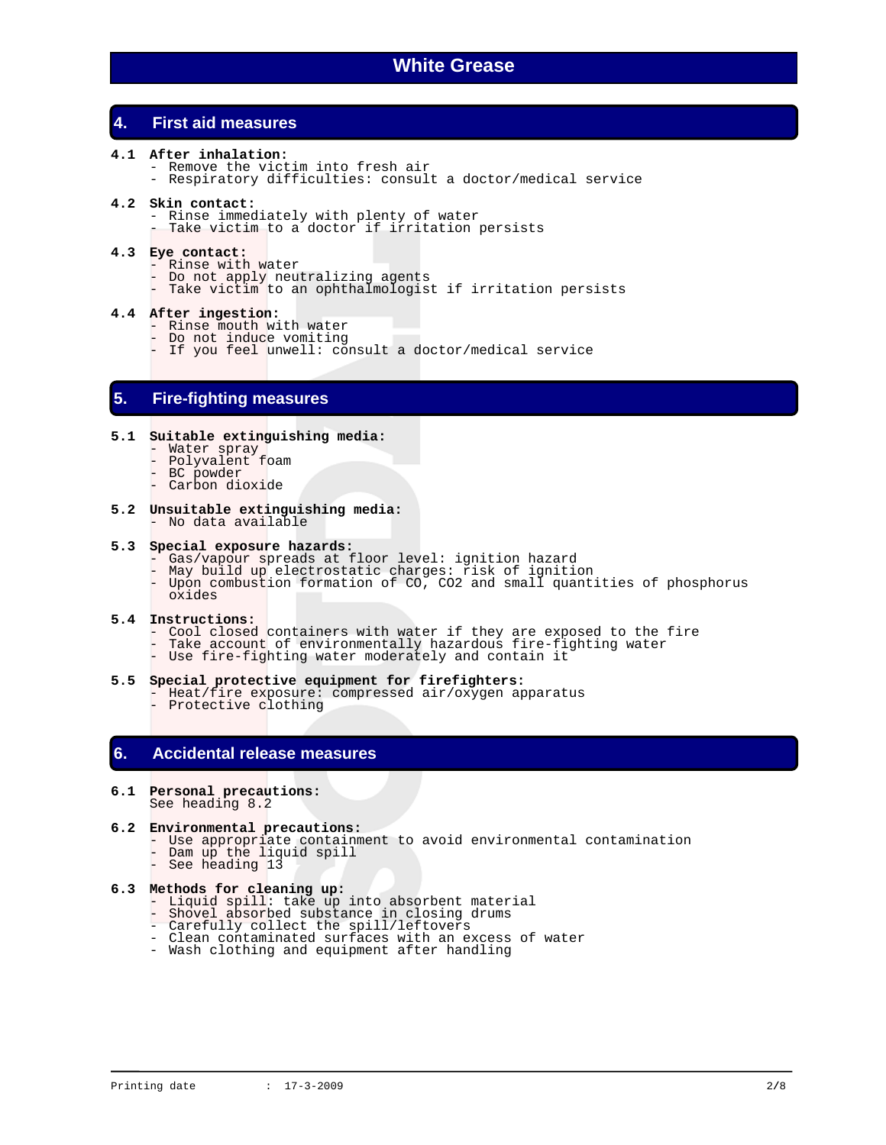# **4. First aid measures**

- **4.1 After inhalation:** 
	- Remove the victim into fresh air
	- Respiratory difficulties: consult a doctor/medical service

### **4.2 Skin contact:**

- Rinse immediately with plenty of water
- Take victim to a doctor if irritation persists

### **4.3 Eye contact:**

- Rinse with water
- Do not apply neutralizing agents
- Take victim to an ophthalmologist if irritation persists

# **4.4 After ingestion:**

- Rinse mouth with water
- Do not induce vomiting
- If you feel unwell: consult a doctor/medical service

# **5. Fire-fighting measures**

# **5.1 Suitable extinguishing media:**

- Water spray
- Polyvalent foam
- BC powder - Carbon dioxide
- 
- **5.2 Unsuitable extinguishing media:**  - No data available

### **5.3 Special exposure hazards:**

- Gas/vapour spreads at floor level: ignition hazard
- May build up electrostatic charges: risk of ignition
- Upon combustion formation of CO, CO2 and small quantities of phosphorus oxides

### **5.4 Instructions:**

- Cool closed containers with water if they are exposed to the fire
- Take account of environmentally hazardous fire-fighting water
	- Use fire-fighting water moderately and contain it

#### **5.5 Special protective equipment for firefighters:**

- Heat/fire exposure: compressed air/oxygen apparatus
	- Protective clothing

# **6. Accidental release measures**

**6.1 Personal precautions:**  See heading 8.2

### **6.2 Environmental precautions:**

- Use appropriate containment to avoid environmental contamination
- Dam up the liquid spill
	- See heading 13

# **6.3 Methods for cleaning up:**

- Liquid spill: take up into absorbent material
- Shovel absorbed substance in closing drums
	- Carefully collect the spill/leftovers
	- Clean contaminated surfaces with an excess of water
	- Wash clothing and equipment after handling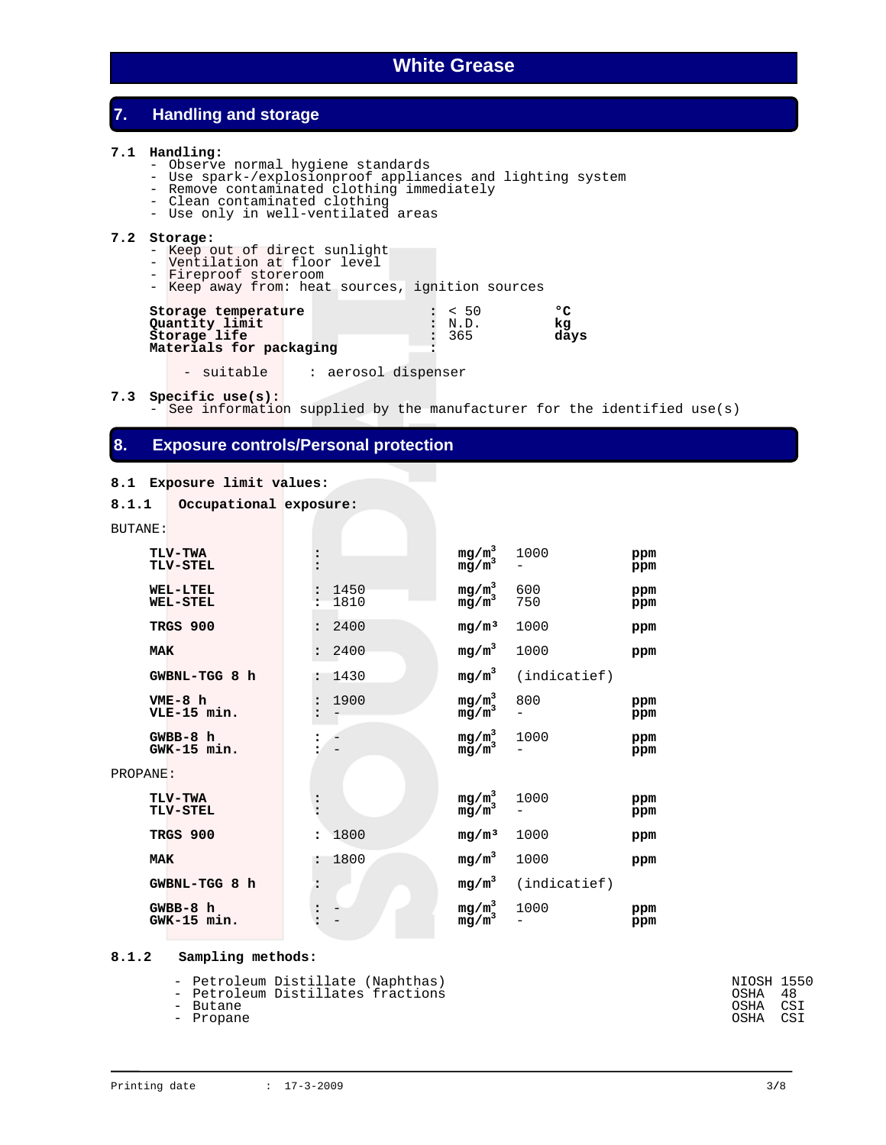# **7. Handling and storage**

### **7.1 Handling:**

- Observe normal hygiene standards
- Use spark-/explosionproof appliances and lighting system
- Remove contaminated clothing immediately
	- Clean contaminated clothing
	- Use only in well-ventilated areas

### **7.2 Storage:**

- Keep out of direct sunlight
- Ventilation at floor level
- Fireproof storeroom
- Keep away from: heat sources, ignition sources

| Storage temperature     | : 50         | ۰o   |
|-------------------------|--------------|------|
| Quantity limit          | $\cdot$ N.D. | kα   |
| Storage life            | $\cdot$ 365  | days |
| Materials for packaging |              |      |

- suitable | : aerosol dispenser

**7.3 Specific use(s):**

See information supplied by the manufacturer for the identified use(s)

# **8. Exposure controls/Personal protection**

### **8.1 Exposure limit values:**

```
8.1.1 Occupational exposure:
```
BUTANE:

| י שיג <i>ובו</i> טע                |                              |                                                                                     |              |            |
|------------------------------------|------------------------------|-------------------------------------------------------------------------------------|--------------|------------|
| TLV-TWA<br>TLV-STEL                |                              | $mg/m^3$<br>mg/m <sup>3</sup>                                                       | 1000         | ppm<br>ppm |
| <b>WEL-LTEL</b><br><b>WEL-STEL</b> | 1450<br>1810                 | $mg/m^3$<br>$mg/m^3$                                                                | 600<br>750   | ppm<br>ppm |
| TRGS 900                           | 2400                         | mg/m <sup>3</sup>                                                                   | 1000         | ppm        |
| <b>MAK</b>                         | 2400                         | $mg/m^3$                                                                            | 1000         | ppm        |
| GWBNL-TGG 8 h                      | 1430                         | $mg/m^3$                                                                            | (indicatief) |            |
| $VME-8 h$<br>VLE-15 min.           | 1900<br>$\ddot{\phantom{a}}$ | $\begin{array}{l} \mathbf{m}\mathbf{g/m}^3 \\ \mathbf{m}\mathbf{g/m}^3 \end{array}$ | 800          | ppm<br>ppm |
| GWBB-8 h<br>$GWK-15$ min.          |                              | $mg/m^3$<br>mg/m <sup>3</sup>                                                       | 1000         | ppm<br>ppm |
| PROPANE:                           |                              |                                                                                     |              |            |
| <b>TLV-TWA</b><br><b>TLV-STEL</b>  |                              | $mg/m^3$<br>mg/m <sup>3</sup>                                                       | 1000         | ppm<br>ppm |
| TRGS 900                           | 1800<br>$\ddot{\phantom{a}}$ | mg/m <sup>3</sup>                                                                   | 1000         | ppm        |
| <b>MAK</b>                         | 1800                         | $mg/m^3$                                                                            | 1000         | ppm        |
| GWBNL-TGG 8 h                      | $\ddot{\phantom{a}}$         | $mg/m^3$                                                                            | (indicatief) |            |
| GWBB-8 h<br>GWK-15 min.            |                              | $mg/m^3$<br>$mg/m^3$                                                                | 1000         | ppm<br>ppm |

### **8.1.2 Sampling methods:**

- Petroleum Distillate (Naphthas)<br>- Petroleum Distillates fractions National COSHA 48

- Petroleum Distillates fractions - OSHA 48<br>- Butane - OSHA CSI

- Propane

- Butane OSHA CSI - Propane OSHA CSI - Propane OSHA CSI - Propane OSHA CSI - Propane OSHA CSI - Propane OSHA CSI - Propane OSHA CSI - Propane OSHA CSI - Propane OSHA CSI - Propane OSHA CSI - Propane OSHA CSI - Propane OSHA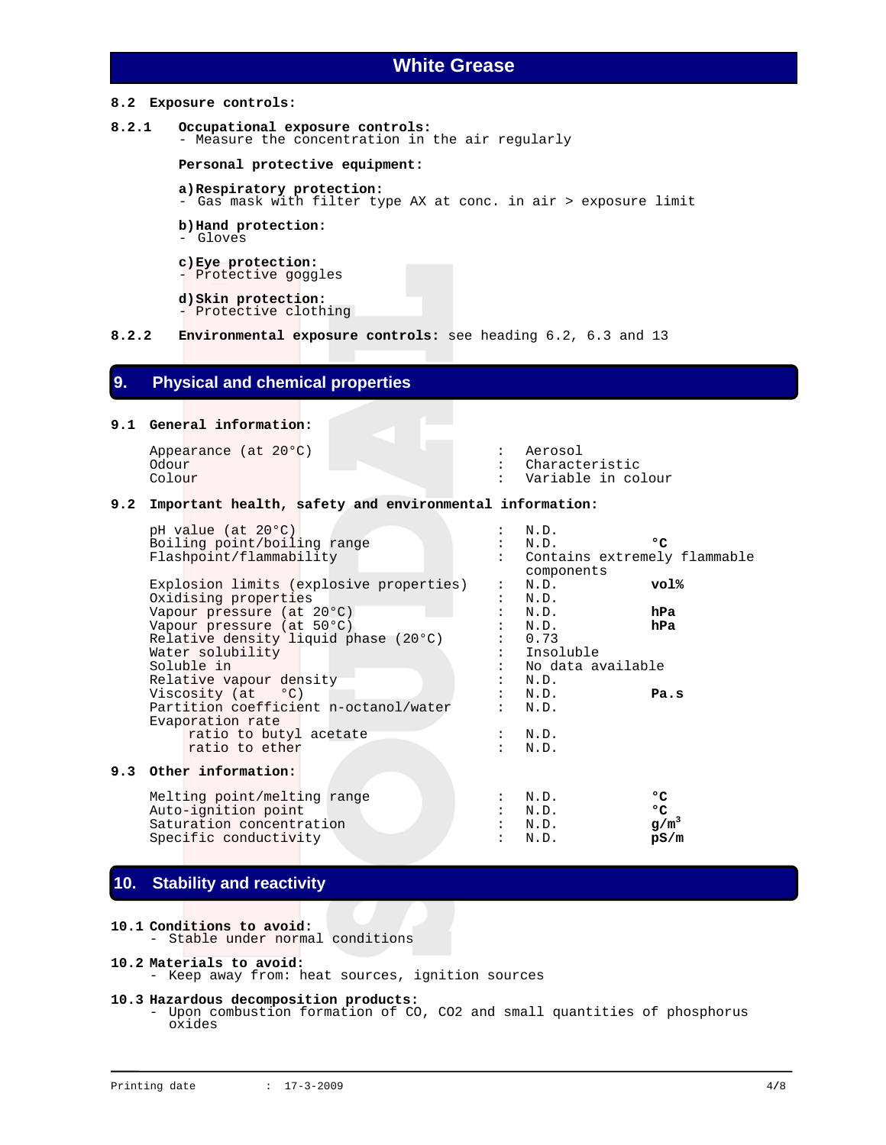### **8.2 Exposure controls:**

```
8.2.1 Occupational exposure controls: 
         - Measure the concentration in the air regularly
```
 **Personal protective equipment:** 

- **a) Respiratory protection:**  - Gas mask with filter type AX at conc. in air > exposure limit
- **b) Hand protection:**
- Gloves
- **c) Eye protection:**
- Protective goggles
- **d) Skin protection:**  - Protective clothing
- **8.2.2 Environmental exposure controls:** see heading 6.2, 6.3 and 13

# **9. Physical and chemical properties**

### **9.1 General information:**

Appearance (at 20°C) : Aerosol

Odour : Characteristic<br>
Colour : Characteristic<br>
Colour : Variable in co Variable in colour

Contains extremely flammable

### **9.2 Important health, safety and environmental information:**

pH value (at 20°C) : N.D. Boiling point/boiling range  $\begin{array}{ccc} \cdot & \cdot & \cdot & \cdot \\ \text{Flashpoint/flammability} & \cdot & \cdot & \text{Container extremely} \end{array}$ 

|                                         | components                |          |
|-----------------------------------------|---------------------------|----------|
| Explosion limits (explosive properties) | : N.D.                    | vol%     |
| Oxidising properties                    | : N.D.                    |          |
| Vapour pressure (at 20°C)               | N.D.                      | hPa      |
| Vapour pressure (at 50°C)               | N.D.                      | hPa      |
| Relative density liquid phase (20°C)    | 0.73                      |          |
| Water solubility                        | : Insoluble               |          |
| Soluble in                              | No data available         |          |
| Relative vapour density                 | N.D.                      |          |
| Viscosity (at °C)                       | N.D.                      | Pa.s     |
| Partition coefficient n-octanol/water   | N.D.                      |          |
| Evaporation rate                        |                           |          |
| ratio to butyl acetate                  | : N.D.                    |          |
| ratio to ether                          | N.D.                      |          |
|                                         |                           |          |
| 9.3 Other information:                  |                           |          |
| Melting point/melting range             | N.D.                      | ہ ہ      |
| $\lambda$ uto ignition point            | $\mathbb{M}$ $\mathbb{D}$ | $\alpha$ |
|                                         |                           |          |

# **9.3 Other information:**

Auto-ignition point<br>
Saturation concentration<br>  $\begin{array}{ccc} \text{Saturation} & \text{oncentration} \\ \text{Saturation} & \text{on} \\ \end{array}$ Saturation concentration Specific conductivity **and its section of the set of the set of the set of the set of the set of the set of the set of the set of the set of the set of the set of the set of the set of the set of the set of the set of the** 

# **10. Stability and reactivity**

#### **10.1 Conditions to avoid:**

- Stable under normal conditions

# **10.2 Materials to avoid:**

- Keep away from: heat sources, ignition sources

### **10.3 Hazardous decomposition products:**

 - Upon combustion formation of CO, CO2 and small quantities of phosphorus oxides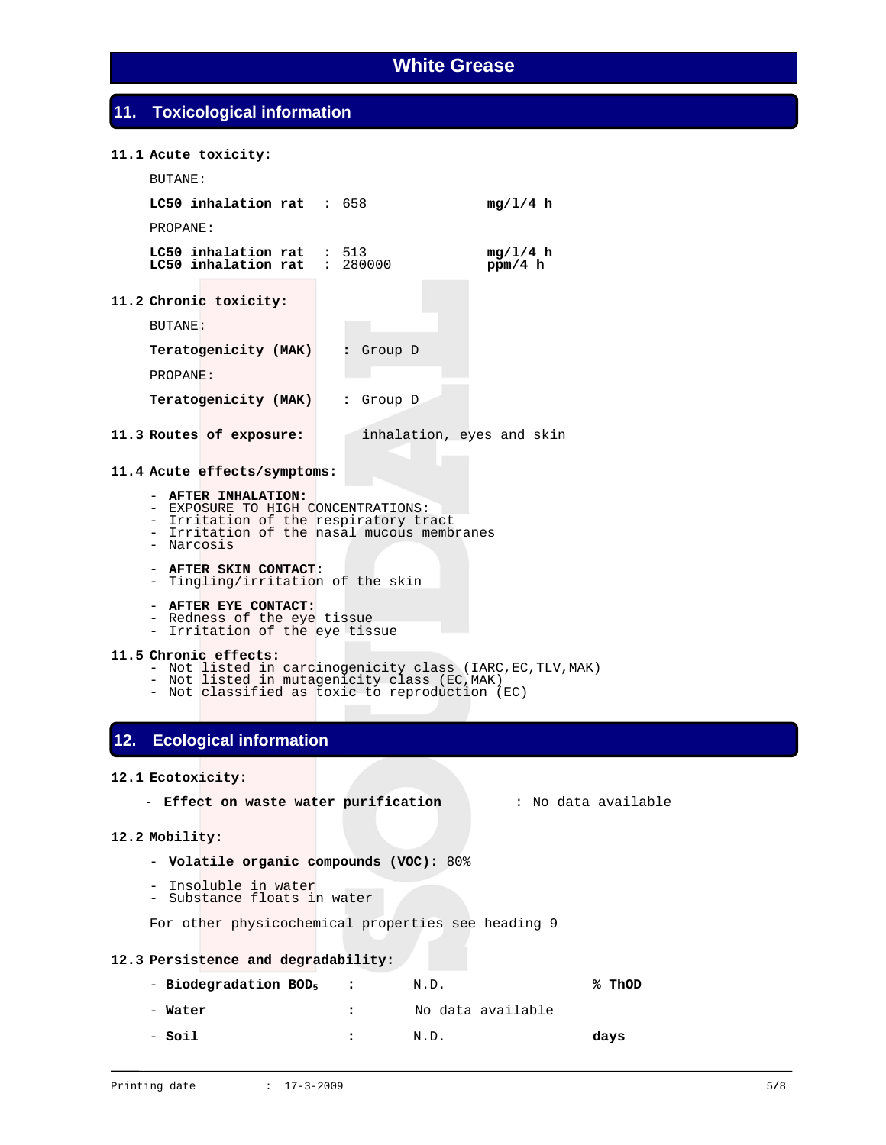# **11. Toxicological information**

### **11.1 Acute toxicity:**

| BUTANE:                                            |           |                           |
|----------------------------------------------------|-----------|---------------------------|
| LC50 inhalation rat : $658$                        |           | mg/L/4 h                  |
| PROPANE:                                           |           |                           |
| $LC50$ inhalation rat : 513<br>LC50 inhalation rat | : 280000  | mg/1/4 h<br>ppm/4 h       |
| 11.2 Chronic toxicity:                             |           |                           |
| BUTANE:                                            |           |                           |
| Teratogenicity (MAK)                               | Group D   |                           |
| PROPANE:                                           |           |                           |
| Teratogenicity (MAK)                               | : Group D |                           |
| 11.3 Routes of exposure:                           |           | inhalation, eyes and skin |

**11.4 Acute effects/symptoms:** 

#### - **AFTER INHALATION:**

- EXPOSURE TO HIGH CONCENTRATIONS:
- Irritation of the respiratory tract
- Irritation of the nasal mucous membranes
	- Narcosis
	- **AFTER SKIN CONTACT:**
	- Tingling/irritation of the skin
	- **AFTER EYE CONTACT:**
- Redness of the eye tissue
- Irritation of the eye tissue

# **11.5 Chronic effects:**

- Not listed in carcinogenicity class (IARC, EC, TLV, MAK)
- Not listed in mutagenicity class (EC,MAK)
- Not classified as toxic to reproduction (EC)

# **12. Ecological information**

### **12.1 Ecotoxicity:**

- **Effect on waste water purification** : No data available

#### **12.2 Mobility:**

- **Volatile organic compounds (VOC):** 80%
- Insoluble in water
- Substance floats in water

For other physicochemical properties see heading 9

### **12.3 Persistence and degradability:**

| - Biodegradation BOD, | $\sim$ $\sim$ $\sim$ | N.D.              | % ThOD |
|-----------------------|----------------------|-------------------|--------|
| - Water               |                      | No data available |        |
| - Soil                |                      | N.D.              | days   |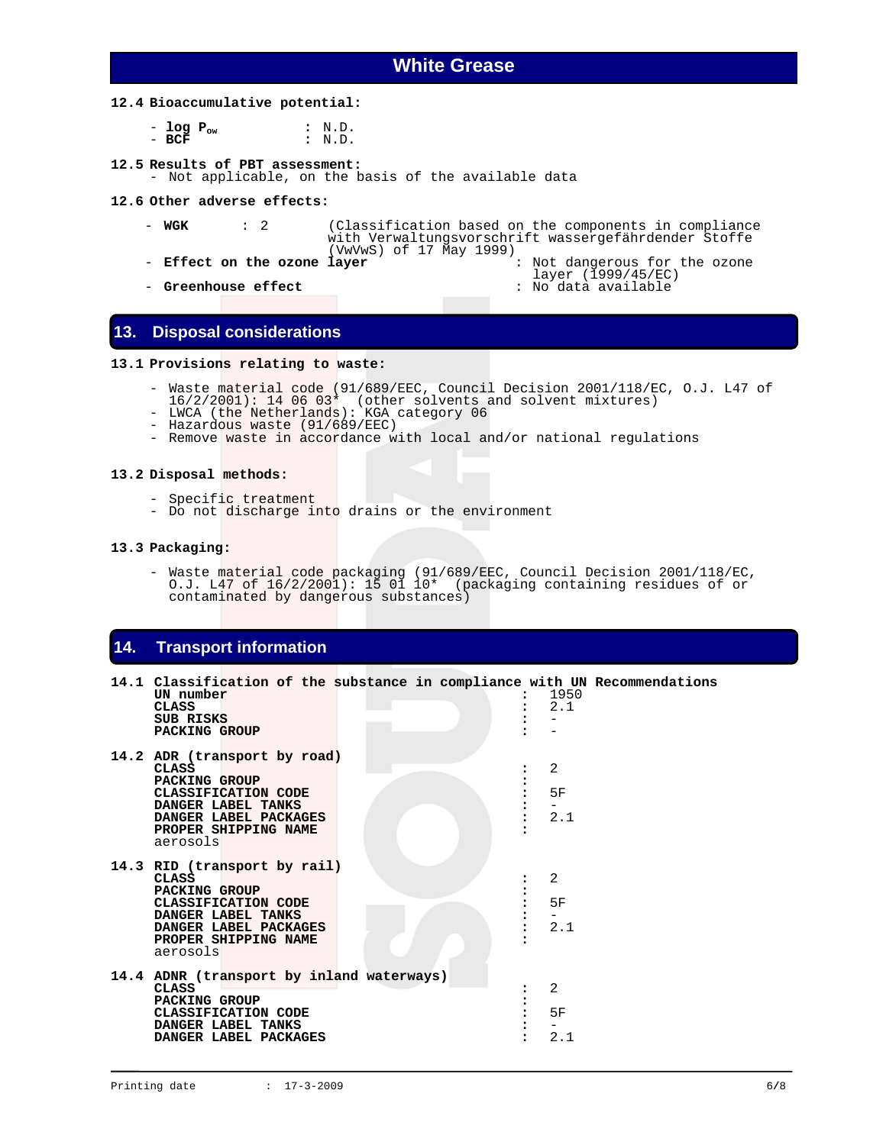### **12.4 Bioaccumulative potential:**

| - log $P_{ow}$ |  | : N.D. |
|----------------|--|--------|
| $-$ BCF        |  | : N.D. |

### **12.5 Results of PBT assessment:**

- Not applicable, on the basis of the available data

#### **12.6 Other adverse effects:**

- **WGK** : 2 (Classification based on the components in compliance with Verwaltungsvorschrift wassergefährdender Stoffe<br>(VwVwS) of 17 May 1999)
- 

- **Effect on the ozone layer**  $\qquad \qquad :$  Not dangerous for the ozone layer (1999/45/EC)
- layer (1999/45/EC) **Greenhouse effect** : No data available
- **13. Disposal considerations**

### **13.1 Provisions relating to waste:**

- Waste material code (91/689/EEC, Council Decision 2001/118/EC, O.J. L47 of
	- 16/2/2001): 14 06 03\* (other solvents and solvent mixtures)
	- LWCA (the Netherlands): KGA category 06
	- Hazardous waste (91/689/EEC)
		- Remove waste in accordance with local and/or national regulations

# **13.2 Disposal methods:**

- Specific treatment
- Do not discharge into drains or the environment

#### **13.3 Packaging:**

 - Waste material code packaging (91/689/EEC, Council Decision 2001/118/EC, O.J. L47 of 16/2/2001): 15 01 10\* (packaging containing residues of or contaminated by dangerous substances)

# **14. Transport information**

| 14.1 Classification of the substance in compliance with UN Recommendations<br>UN number<br>CLASS<br><b>SUB RISKS</b><br>PACKING GROUP                                          | 1950<br>2.1    |  |
|--------------------------------------------------------------------------------------------------------------------------------------------------------------------------------|----------------|--|
| 14.2 ADR (transport by road)<br><b>CLASS</b><br><b>PACKING GROUP</b><br>CLASSIFICATION CODE<br>DANGER LABEL TANKS<br>DANGER LABEL PACKAGES<br>PROPER SHIPPING NAME<br>aerosols | 2<br>5F<br>2.1 |  |
| 14.3 RID (transport by rail)<br><b>CLASS</b><br>PACKING GROUP<br>CLASSIFICATION CODE<br>DANGER LABEL TANKS<br>DANGER LABEL PACKAGES<br>PROPER SHIPPING NAME<br>aerosols        | 2<br>5F<br>2.1 |  |
| 14.4 ADNR (transport by inland waterways)<br><b>CLASS</b><br>PACKING GROUP<br>CLASSIFICATION CODE<br>DANGER LABEL TANKS<br>DANGER LABEL PACKAGES                               | 2<br>5F<br>2.1 |  |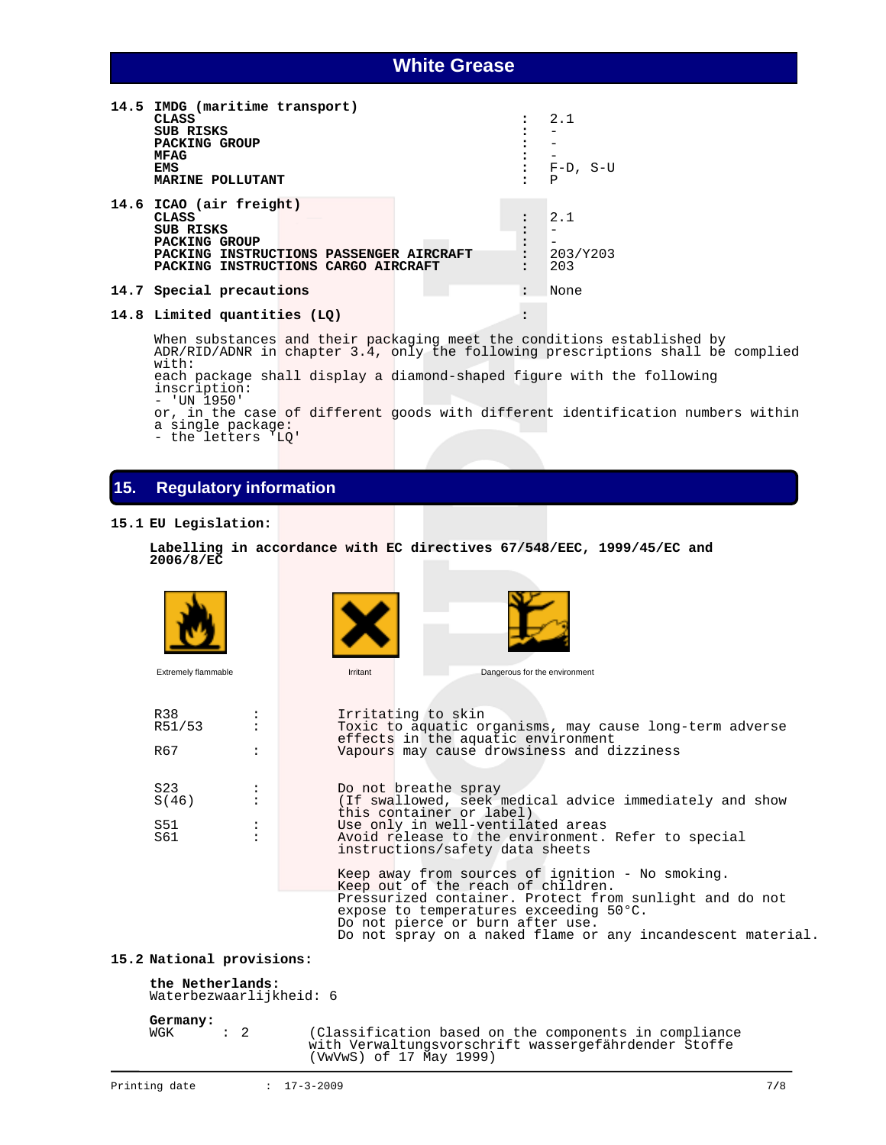| 14.5 IMDG (maritime transport)<br><b>CLASS</b><br><b>SUB RISKS</b><br>PACKING GROUP<br><b>MFAG</b><br>EMS<br>MARINE POLLUTANT                           | $\ddot{\phantom{a}}$<br>:<br>٠ | 2.1<br>$F-D$ , S-U<br>Ρ |
|---------------------------------------------------------------------------------------------------------------------------------------------------------|--------------------------------|-------------------------|
| 14.6 ICAO (air freight)<br>CLASS<br><b>SUB RISKS</b><br>PACKING GROUP<br>PACKING INSTRUCTIONS PASSENGER AIRCRAFT<br>PACKING INSTRUCTIONS CARGO AIRCRAFT | $\bullet$<br>$\ddot{\cdot}$    | 2.1<br>203/Y203<br>203  |
| 14.7 Special precautions                                                                                                                                | $\cdot$                        | None                    |

# **14.8 Limited quantities (LQ) :**

 When substances and their packaging meet the conditions established by ADR/RID/ADNR in chapter 3.4, only the following prescriptions shall be complied with:

each package shall display a diamond-shaped figure with the following inscription: - 'UN 1950'

or, in the case of different goods with different identification numbers within a single package:

- the letters 'LQ'

# **15. Regulatory information**

### **15.1 EU Legislation:**

```
 Labelling in accordance with EC directives 67/548/EEC, 1999/45/EC and 
2006/8/EC
```


### **15.2 National provisions:**

**the Netherlands:**  Waterbezwaarlijkheid: 6

**Germany:**

: 2 (Classification based on the components in compliance with Verwaltungsvorschrift wassergefährdender Stoffe (VwVwS) of 17 May 1999)